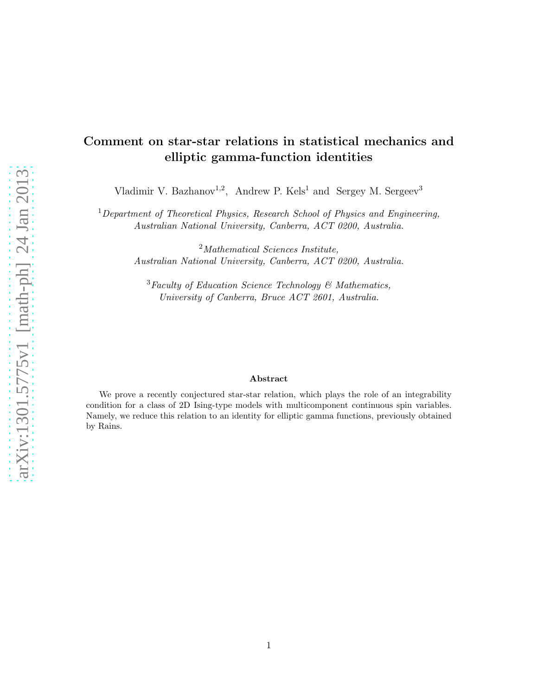# Comment on star-star relations in statistical mechanics and elliptic gamma-function identities

Vladimir V. Bazhanov<sup>1,2</sup>, Andrew P. Kels<sup>1</sup> and Sergey M. Sergeev<sup>3</sup>

<sup>1</sup>*Department of Theoretical Physics, Research School of Physics and Engineering, Australian National University, Canberra, ACT 0200, Australia.*

> <sup>2</sup>*Mathematical Sciences Institute, Australian National University, Canberra, ACT 0200, Australia.*

<sup>3</sup>*Faculty of Education Science Technology & Mathematics, University of Canberra, Bruce ACT 2601, Australia.*

#### Abstract

We prove a recently conjectured star-star relation, which plays the role of an integrability condition for a class of 2D Ising-type models with multicomponent continuous spin variables. Namely, we reduce this relation to an identity for elliptic gamma functions, previously obtained by Rains.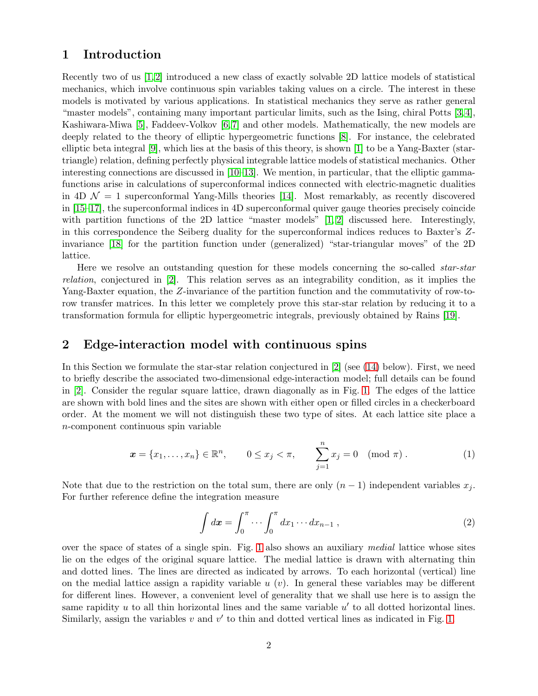### 1 Introduction

Recently two of us [\[1,](#page-6-0) [2\]](#page-6-1) introduced a new class of exactly solvable 2D lattice models of statistical mechanics, which involve continuous spin variables taking values on a circle. The interest in these models is motivated by various applications. In statistical mechanics they serve as rather general "master models", containing many important particular limits, such as the Ising, chiral Potts [\[3,](#page-6-2) [4\]](#page-6-3), Kashiwara-Miwa [\[5\]](#page-6-4), Faddeev-Volkov [\[6,](#page-6-5) [7\]](#page-6-6) and other models. Mathematically, the new models are deeply related to the theory of elliptic hypergeometric functions [\[8\]](#page-6-7). For instance, the celebrated elliptic beta integral [\[9\]](#page-6-8), which lies at the basis of this theory, is shown [\[1\]](#page-6-0) to be a Yang-Baxter (startriangle) relation, defining perfectly physical integrable lattice models of statistical mechanics. Other interesting connections are discussed in [\[10](#page-6-9)[–13\]](#page-6-10). We mention, in particular, that the elliptic gammafunctions arise in calculations of superconformal indices connected with electric-magnetic dualities in 4D  $\mathcal{N} = 1$  superconformal Yang-Mills theories [\[14\]](#page-6-11). Most remarkably, as recently discovered in [\[15–](#page-6-12)[17\]](#page-7-0), the superconformal indices in 4D superconformal quiver gauge theories precisely coincide with partition functions of the 2D lattice "master models" [\[1,](#page-6-0) [2\]](#page-6-1) discussed here. Interestingly, in this correspondence the Seiberg duality for the superconformal indices reduces to Baxter's Zinvariance [\[18\]](#page-7-1) for the partition function under (generalized) "star-triangular moves" of the 2D lattice.

Here we resolve an outstanding question for these models concerning the so-called *star-star relation*, conjectured in [\[2\]](#page-6-1). This relation serves as an integrability condition, as it implies the Yang-Baxter equation, the Z-invariance of the partition function and the commutativity of row-torow transfer matrices. In this letter we completely prove this star-star relation by reducing it to a transformation formula for elliptic hypergeometric integrals, previously obtained by Rains [\[19\]](#page-7-2).

#### 2 Edge-interaction model with continuous spins

In this Section we formulate the star-star relation conjectured in [\[2\]](#page-6-1) (see [\(14\)](#page-4-0) below). First, we need to briefly describe the associated two-dimensional edge-interaction model; full details can be found in [\[2\]](#page-6-1). Consider the regular square lattice, drawn diagonally as in Fig. [1.](#page-2-0) The edges of the lattice are shown with bold lines and the sites are shown with either open or filled circles in a checkerboard order. At the moment we will not distinguish these two type of sites. At each lattice site place a n-component continuous spin variable

<span id="page-1-0"></span>
$$
\boldsymbol{x} = \{x_1, \dots, x_n\} \in \mathbb{R}^n, \qquad 0 \le x_j < \pi, \qquad \sum_{j=1}^n x_j = 0 \pmod{\pi} \,.
$$

Note that due to the restriction on the total sum, there are only  $(n-1)$  independent variables  $x_i$ . For further reference define the integration measure

$$
\int dx = \int_0^{\pi} \cdots \int_0^{\pi} dx_1 \cdots dx_{n-1} , \qquad (2)
$$

over the space of states of a single spin. Fig. [1](#page-2-0) also shows an auxiliary *medial* lattice whose sites lie on the edges of the original square lattice. The medial lattice is drawn with alternating thin and dotted lines. The lines are directed as indicated by arrows. To each horizontal (vertical) line on the medial lattice assign a rapidity variable  $u(v)$ . In general these variables may be different for different lines. However, a convenient level of generality that we shall use here is to assign the same rapidity  $u$  to all thin horizontal lines and the same variable  $u'$  to all dotted horizontal lines. Similarly, assign the variables  $v$  and  $v'$  to thin and dotted vertical lines as indicated in Fig. [1.](#page-2-0)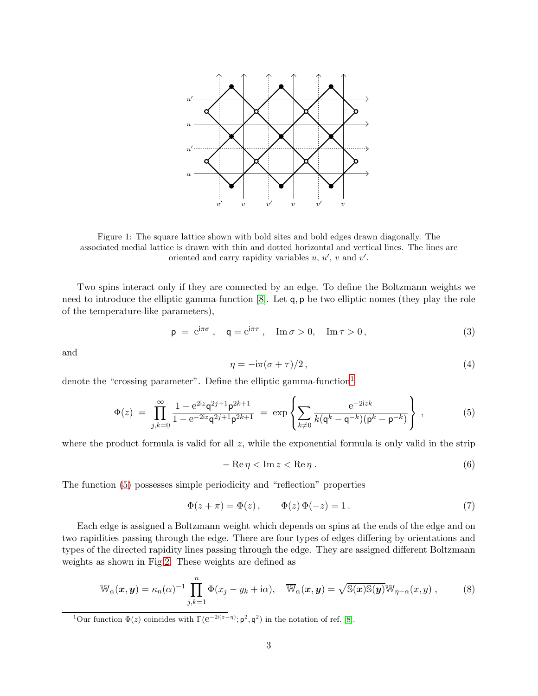<span id="page-2-0"></span>

Figure 1: The square lattice shown with bold sites and bold edges drawn diagonally. The associated medial lattice is drawn with thin and dotted horizontal and vertical lines. The lines are oriented and carry rapidity variables  $u, u', v$  and  $v'$ .

Two spins interact only if they are connected by an edge. To define the Boltzmann weights we need to introduce the elliptic gamma-function [\[8\]](#page-6-7). Let q, p be two elliptic nomes (they play the role of the temperature-like parameters),

$$
\mathsf{p} = e^{i\pi\sigma} , \quad \mathsf{q} = e^{i\pi\tau} , \quad \mathrm{Im}\,\sigma > 0, \quad \mathrm{Im}\,\tau > 0 , \tag{3}
$$

and

$$
\eta = -i\pi(\sigma + \tau)/2\,,\tag{4}
$$

denote the "crossing parameter". Define the elliptic gamma-function<sup>[1](#page-2-1)</sup>

<span id="page-2-2"></span>
$$
\Phi(z) = \prod_{j,k=0}^{\infty} \frac{1 - e^{2iz} \mathsf{q}^{2j+1} \mathsf{p}^{2k+1}}{1 - e^{-2iz} \mathsf{q}^{2j+1} \mathsf{p}^{2k+1}} = \exp\left\{ \sum_{k \neq 0} \frac{e^{-2izk}}{k(\mathsf{q}^k - \mathsf{q}^{-k})(\mathsf{p}^k - \mathsf{p}^{-k})} \right\},\tag{5}
$$

where the product formula is valid for all  $z$ , while the exponential formula is only valid in the strip

$$
-\operatorname{Re}\eta < \operatorname{Im} z < \operatorname{Re}\eta \tag{6}
$$

The function [\(5\)](#page-2-2) possesses simple periodicity and "reflection" properties

<span id="page-2-3"></span>
$$
\Phi(z + \pi) = \Phi(z), \qquad \Phi(z)\,\Phi(-z) = 1. \tag{7}
$$

Each edge is assigned a Boltzmann weight which depends on spins at the ends of the edge and on two rapidities passing through the edge. There are four types of edges differing by orientations and types of the directed rapidity lines passing through the edge. They are assigned different Boltzmann weights as shown in Fig[.2.](#page-3-0) These weights are defined as

$$
\mathbb{W}_{\alpha}(\boldsymbol{x},\boldsymbol{y}) = \kappa_n(\alpha)^{-1} \prod_{j,k=1}^n \Phi(x_j - y_k + i\alpha), \quad \overline{\mathbb{W}}_{\alpha}(\boldsymbol{x},\boldsymbol{y}) = \sqrt{\mathbb{S}(\boldsymbol{x})\mathbb{S}(\boldsymbol{y})}\mathbb{W}_{\eta-\alpha}(x,y) ,
$$
 (8)

<span id="page-2-1"></span><sup>1</sup>Our function  $\Phi(z)$  coincides with  $\Gamma(e^{-2i(z-\eta)}; \mathbf{p}^2, \mathbf{q}^2)$  in the notation of ref. [\[8\]](#page-6-7).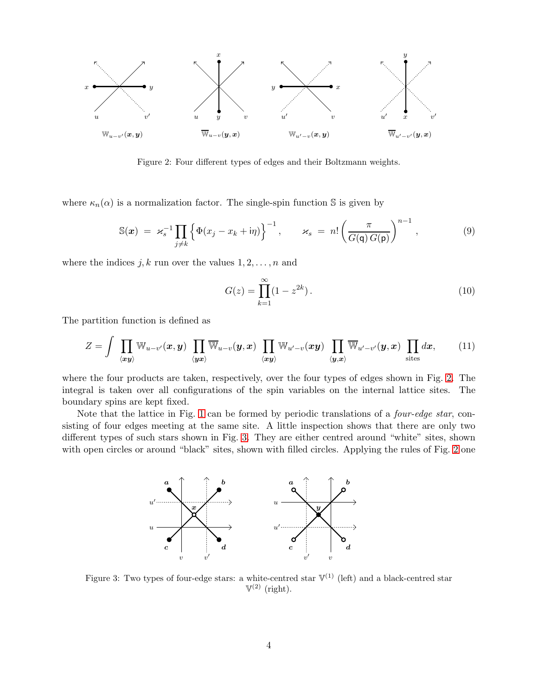<span id="page-3-0"></span>

Figure 2: Four different types of edges and their Boltzmann weights.

where  $\kappa_n(\alpha)$  is a normalization factor. The single-spin function S is given by

<span id="page-3-3"></span>
$$
\mathbb{S}(\boldsymbol{x}) = \varkappa_s^{-1} \prod_{j \neq k} \left\{ \Phi(x_j - x_k + \mathrm{i}\eta) \right\}^{-1}, \qquad \varkappa_s = n! \left( \frac{\pi}{G(\mathsf{q}) G(\mathsf{p})} \right)^{n-1}, \tag{9}
$$

where the indices  $j, k$  run over the values  $1, 2, \ldots, n$  and

<span id="page-3-2"></span>
$$
G(z) = \prod_{k=1}^{\infty} (1 - z^{2k}).
$$
\n(10)

The partition function is defined as

$$
Z = \int \prod_{\langle xy \rangle} \mathbb{W}_{u-v'}(x, y) \prod_{\langle yx \rangle} \overline{\mathbb{W}}_{u-v}(y, x) \prod_{\langle xy \rangle} \mathbb{W}_{u'-v}(xy) \prod_{\langle y, x \rangle} \overline{\mathbb{W}}_{u'-v'}(y, x) \prod_{\text{sites}} dx, \quad (11)
$$

where the four products are taken, respectively, over the four types of edges shown in Fig. [2.](#page-3-0) The integral is taken over all configurations of the spin variables on the internal lattice sites. The boundary spins are kept fixed.

<span id="page-3-1"></span>Note that the lattice in Fig. [1](#page-2-0) can be formed by periodic translations of a *four-edge star*, consisting of four edges meeting at the same site. A little inspection shows that there are only two different types of such stars shown in Fig. [3.](#page-3-1) They are either centred around "white" sites, shown with open circles or around "black" sites, shown with filled circles. Applying the rules of Fig. [2](#page-3-0) one



Figure 3: Two types of four-edge stars: a white-centred star  $\mathbb{V}^{(1)}$  (left) and a black-centred star  $\mathbb{V}^{(2)}$  (right).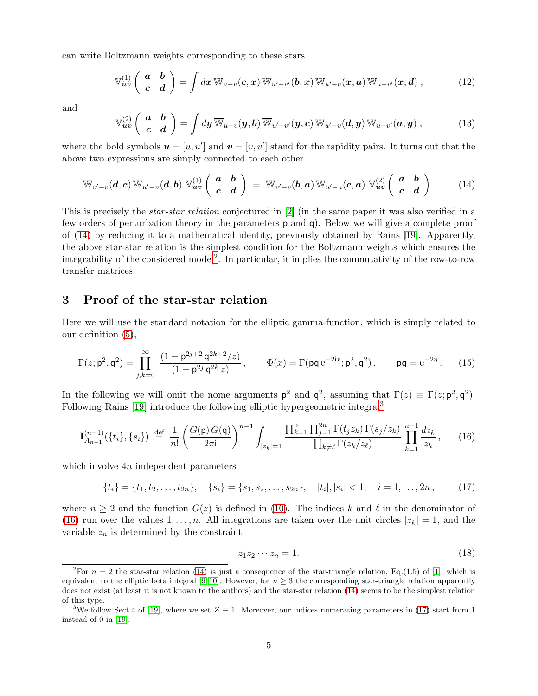can write Boltzmann weights corresponding to these stars

<span id="page-4-5"></span>
$$
\mathbb{V}_{uv}^{(1)}\left(\begin{array}{cc} \boldsymbol{a} & \boldsymbol{b} \\ \boldsymbol{c} & \boldsymbol{d} \end{array}\right)=\int d\boldsymbol{x}\,\overline{\mathbb{W}}_{u-v}(\boldsymbol{c},\boldsymbol{x})\,\overline{\mathbb{W}}_{u'-v'}(\boldsymbol{b},\boldsymbol{x})\,\mathbb{W}_{u'-v}(\boldsymbol{x},\boldsymbol{a})\,\mathbb{W}_{u-v'}(\boldsymbol{x},\boldsymbol{d})\,,\tag{12}
$$

and

<span id="page-4-8"></span>
$$
\mathbb{V}_{uv}^{(2)}\left(\begin{array}{cc} \boldsymbol{a} & \boldsymbol{b} \\ \boldsymbol{c} & \boldsymbol{d} \end{array}\right)=\int d\boldsymbol{y}\,\overline{\mathbb{W}}_{u-v}(\boldsymbol{y},\boldsymbol{b})\,\overline{\mathbb{W}}_{u'-v'}(\boldsymbol{y},\boldsymbol{c})\,\mathbb{W}_{u'-v}(\boldsymbol{d},\boldsymbol{y})\,\mathbb{W}_{u-v'}(\boldsymbol{a},\boldsymbol{y})\,,\tag{13}
$$

where the bold symbols  $u = [u, u']$  and  $v = [v, v']$  stand for the rapidity pairs. It turns out that the above two expressions are simply connected to each other

<span id="page-4-0"></span>
$$
\mathbb{W}_{v'-v}(d,c) \mathbb{W}_{u'-u}(d,b) \mathbb{V}_{uv}^{(1)}\left(\begin{array}{cc} a & b \\ c & d \end{array}\right) = \mathbb{W}_{v'-v}(b,a) \mathbb{W}_{u'-u}(c,a) \mathbb{V}_{uv}^{(2)}\left(\begin{array}{cc} a & b \\ c & d \end{array}\right).
$$
 (14)

This is precisely the *star-star relation* conjectured in [\[2\]](#page-6-1) (in the same paper it was also verified in a few orders of perturbation theory in the parameters p and q). Below we will give a complete proof of [\(14\)](#page-4-0) by reducing it to a mathematical identity, previously obtained by Rains [\[19\]](#page-7-2). Apparently, the above star-star relation is the simplest condition for the Boltzmann weights which ensures the integrability of the considered model<sup>[2](#page-4-1)</sup>. In particular, it implies the commutativity of the row-to-row transfer matrices.

#### 3 Proof of the star-star relation

Here we will use the standard notation for the elliptic gamma-function, which is simply related to our definition [\(5\)](#page-2-2),

<span id="page-4-7"></span>
$$
\Gamma(z; \mathbf{p}^2, \mathbf{q}^2) = \prod_{j,k=0}^{\infty} \frac{(1 - \mathbf{p}^{2j+2} \mathbf{q}^{2k+2}/z)}{(1 - \mathbf{p}^{2j} \mathbf{q}^{2k} z)}, \qquad \Phi(x) = \Gamma(\mathbf{p}\mathbf{q} e^{-2ix}; \mathbf{p}^2, \mathbf{q}^2), \qquad \mathbf{p}\mathbf{q} = e^{-2\eta}. \tag{15}
$$

In the following we will omit the nome arguments  $p^2$  and  $q^2$ , assuming that  $\Gamma(z) \equiv \Gamma(z; p^2, q^2)$ . Following Rains [\[19\]](#page-7-2) introduce the following elliptic hypergeometric integral[3](#page-4-2)

<span id="page-4-3"></span>
$$
\mathbf{I}_{A_{n-1}}^{(n-1)}(\{t_i\},\{s_i\}) \stackrel{\text{def}}{=} \frac{1}{n!} \left(\frac{G(\mathsf{p})\,G(\mathsf{q})}{2\pi\mathsf{i}}\right)^{n-1} \int_{|z_k|=1} \frac{\prod_{k=1}^n \prod_{j=1}^{2n} \Gamma(t_j z_k) \,\Gamma(s_j/z_k)}{\prod_{k\neq \ell} \Gamma(z_k/z_\ell)} \prod_{k=1}^{n-1} \frac{dz_k}{z_k},\qquad(16)
$$

which involve  $4n$  independent parameters

<span id="page-4-4"></span>
$$
\{t_i\} = \{t_1, t_2, \dots, t_{2n}\}, \quad \{s_i\} = \{s_1, s_2, \dots, s_{2n}\}, \quad |t_i|, |s_i| < 1, \quad i = 1, \dots, 2n\,,\tag{17}
$$

where  $n \geq 2$  and the function  $G(z)$  is defined in [\(10\)](#page-3-2). The indices k and l in the denominator of [\(16\)](#page-4-3) run over the values  $1, \ldots, n$ . All integrations are taken over the unit circles  $|z_k| = 1$ , and the variable  $z_n$  is determined by the constraint

<span id="page-4-6"></span>
$$
z_1 z_2 \cdots z_n = 1. \tag{18}
$$

<span id="page-4-1"></span><sup>&</sup>lt;sup>2</sup>For  $n = 2$  the star-star relation [\(14\)](#page-4-0) is just a consequence of the star-triangle relation, Eq.(1.5) of [\[1\]](#page-6-0), which is equivalent to the elliptic beta integral [\[9,](#page-6-8)10]. However, for  $n \geq 3$  the corresponding star-triangle relation apparently does not exist (at least it is not known to the authors) and the star-star relation [\(14\)](#page-4-0) seems to be the simplest relation of this type.

<span id="page-4-2"></span><sup>&</sup>lt;sup>3</sup>We follow Sect.4 of [\[19\]](#page-7-2), where we set  $Z \equiv 1$ . Moreover, our indices numerating parameters in [\(17\)](#page-4-4) start from 1 instead of 0 in [\[19\]](#page-7-2).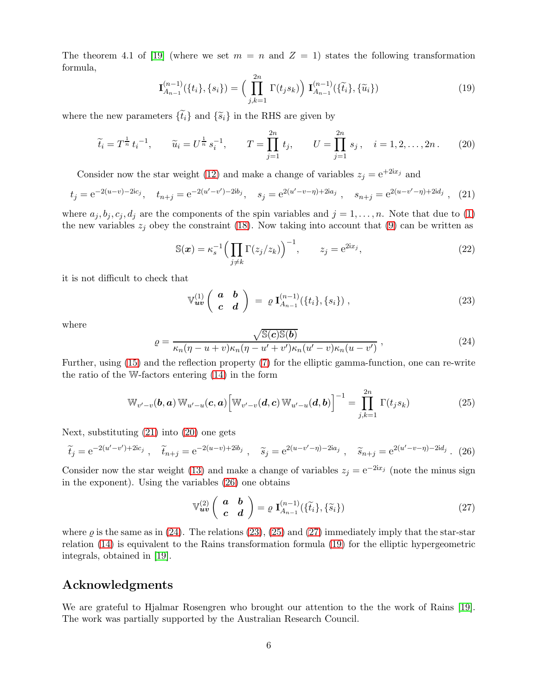The theorem 4.1 of [\[19\]](#page-7-2) (where we set  $m = n$  and  $Z = 1$ ) states the following transformation formula,

<span id="page-5-7"></span>
$$
\mathbf{I}_{A_{n-1}}^{(n-1)}(\{t_i\},\{s_i\}) = \left(\prod_{j,k=1}^{2n} \Gamma(t_j s_k)\right) \mathbf{I}_{A_{n-1}}^{(n-1)}(\{\tilde{t}_i\},\{\tilde{u}_i\})
$$
(19)

where the new parameters  $\{\tilde{t}_i\}$  and  $\{\tilde{s}_i\}$  in the RHS are given by

<span id="page-5-1"></span>
$$
\widetilde{t}_i = T^{\frac{1}{n}} t_i^{-1}, \qquad \widetilde{u}_i = U^{\frac{1}{n}} s_i^{-1}, \qquad T = \prod_{j=1}^{2n} t_j, \qquad U = \prod_{j=1}^{2n} s_j, \quad i = 1, 2, \dots, 2n. \tag{20}
$$

Consider now the star weight [\(12\)](#page-4-5) and make a change of variables  $z_j = e^{+2ix_j}$  and

<span id="page-5-0"></span>
$$
t_j = e^{-2(u-v)-2ic_j}, \quad t_{n+j} = e^{-2(u'-v')-2ib_j}, \quad s_j = e^{2(u'-v-\eta)+2ia_j}, \quad s_{n+j} = e^{2(u-v'-\eta)+2id_j}, \quad (21)
$$

where  $a_j, b_j, c_j, d_j$  are the components of the spin variables and  $j = 1, \ldots, n$ . Note that due to [\(1\)](#page-1-0) the new variables  $z_j$  obey the constraint [\(18\)](#page-4-6). Now taking into account that [\(9\)](#page-3-3) can be written as

$$
\mathbb{S}(\boldsymbol{x}) = \kappa_s^{-1} \Big( \prod_{j \neq k} \Gamma(z_j/z_k) \Big)^{-1}, \qquad z_j = e^{2ix_j}, \tag{22}
$$

it is not difficult to check that

<span id="page-5-4"></span>
$$
\mathbb{V}_{uv}^{(1)}\left(\begin{array}{cc} \boldsymbol{a} & \boldsymbol{b} \\ \boldsymbol{c} & \boldsymbol{d} \end{array}\right) \; = \; \varrho \, \mathbf{I}_{A_{n-1}}^{(n-1)}(\{t_i\}, \{s_i\}) \; , \tag{23}
$$

where

<span id="page-5-3"></span>
$$
\varrho = \frac{\sqrt{\mathbb{S}(c)\mathbb{S}(b)}}{\kappa_n(\eta - u + v)\kappa_n(\eta - u' + v')\kappa_n(u' - v)\kappa_n(u - v')} \,,\tag{24}
$$

Further, using [\(15\)](#page-4-7) and the reflection property [\(7\)](#page-2-3) for the elliptic gamma-function, one can re-write the ratio of the W-factors entering [\(14\)](#page-4-0) in the form

<span id="page-5-5"></span>
$$
\mathbb{W}_{v'-v}(\boldsymbol{b},\boldsymbol{a})\,\mathbb{W}_{u'-u}(\boldsymbol{c},\boldsymbol{a})\left[\mathbb{W}_{v'-v}(\boldsymbol{d},\boldsymbol{c})\,\mathbb{W}_{u'-u}(\boldsymbol{d},\boldsymbol{b})\right]^{-1} = \prod_{j,k=1}^{2n} \Gamma(t_j s_k)
$$
\n(25)

Next, substituting [\(21\)](#page-5-0) into [\(20\)](#page-5-1) one gets

<span id="page-5-2"></span>
$$
\tilde{t}_j = e^{-2(u'-v')+2ic_j}, \quad \tilde{t}_{n+j} = e^{-2(u-v)+2ib_j}, \quad \tilde{s}_j = e^{2(u-v'-\eta)-2ia_j}, \quad \tilde{s}_{n+j} = e^{2(u'-v-\eta)-2id_j}.
$$
 (26)

Consider now the star weight [\(13\)](#page-4-8) and make a change of variables  $z_j = e^{-2ix_j}$  (note the minus sign in the exponent). Using the variables [\(26\)](#page-5-2) one obtains

<span id="page-5-6"></span>
$$
\mathbb{V}_{uv}^{(2)}\left(\begin{array}{cc}\n\boldsymbol{a} & \boldsymbol{b} \\
\boldsymbol{c} & \boldsymbol{d}\n\end{array}\right) = \varrho \ \mathbf{I}_{A_{n-1}}^{(n-1)}(\{\tilde{t}_i\},\{\tilde{s}_i\})
$$
\n(27)

where  $\varrho$  is the same as in [\(24\)](#page-5-3). The relations [\(23\)](#page-5-4), [\(25\)](#page-5-5) and [\(27\)](#page-5-6) immediately imply that the star-star relation [\(14\)](#page-4-0) is equivalent to the Rains transformation formula [\(19\)](#page-5-7) for the elliptic hypergeometric integrals, obtained in [\[19\]](#page-7-2).

# Acknowledgments

We are grateful to Hjalmar Rosengren who brought our attention to the the work of Rains [\[19\]](#page-7-2). The work was partially supported by the Australian Research Council.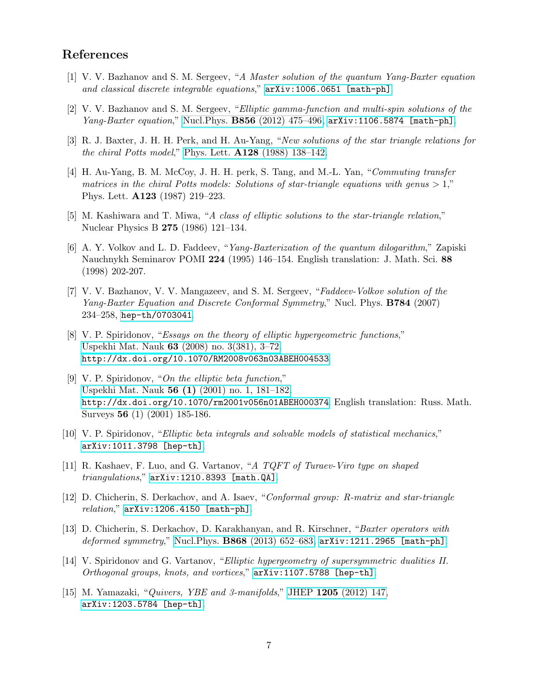# <span id="page-6-0"></span>References

- <span id="page-6-1"></span>[1] V. V. Bazhanov and S. M. Sergeev, "*A Master solution of the quantum Yang-Baxter equation and classical discrete integrable equations*," [arXiv:1006.0651 \[math-ph\]](http://arxiv.org/abs/1006.0651).
- <span id="page-6-2"></span>[2] V. V. Bazhanov and S. M. Sergeev, "*Elliptic gamma-function and multi-spin solutions of the Yang-Baxter equation*," Nucl.Phys. B856 [\(2012\) 475–496,](http://dx.doi.org/10.1016/j.nuclphysb.2011.10.032) [arXiv:1106.5874 \[math-ph\]](http://arxiv.org/abs/1106.5874).
- <span id="page-6-3"></span>[3] R. J. Baxter, J. H. H. Perk, and H. Au-Yang, "*New solutions of the star triangle relations for the chiral Potts model*," Phys. Lett. A128 [\(1988\) 138–142.](http://dx.doi.org/10.1016/0375-9601(88)90896-1)
- [4] H. Au-Yang, B. M. McCoy, J. H. H. perk, S. Tang, and M.-L. Yan, "*Commuting transfer matrices in the chiral Potts models: Solutions of star-triangle equations with genus*  $> 1$ ," Phys. Lett. A123 (1987) 219–223.
- <span id="page-6-5"></span><span id="page-6-4"></span>[5] M. Kashiwara and T. Miwa, "*A class of elliptic solutions to the star-triangle relation*," Nuclear Physics B 275 (1986) 121–134.
- [6] A. Y. Volkov and L. D. Faddeev, "*Yang-Baxterization of the quantum dilogarithm*," Zapiski Nauchnykh Seminarov POMI 224 (1995) 146–154. English translation: J. Math. Sci. 88 (1998) 202-207.
- <span id="page-6-6"></span>[7] V. V. Bazhanov, V. V. Mangazeev, and S. M. Sergeev, "*Faddeev-Volkov solution of the Yang-Baxter Equation and Discrete Conformal Symmetry*," Nucl. Phys. B784 (2007) 234–258, [hep-th/0703041](http://arxiv.org/abs/hep-th/0703041).
- <span id="page-6-7"></span>[8] V. P. Spiridonov, "*Essays on the theory of elliptic hypergeometric functions*," Uspekhi Mat. Nauk 63 [\(2008\) no. 3\(381\), 3–72.](http://dx.doi.org/10.1070/RM2008v063n03ABEH004533) <http://dx.doi.org/10.1070/RM2008v063n03ABEH004533>.
- <span id="page-6-8"></span>[9] V. P. Spiridonov, "*On the elliptic beta function*," Uspekhi Mat. Nauk 56 (1) [\(2001\) no. 1, 181–182.](http://dx.doi.org/10.1070/rm2001v056n01ABEH000374) <http://dx.doi.org/10.1070/rm2001v056n01ABEH000374>. English translation: Russ. Math. Surveys 56 (1) (2001) 185-186.
- <span id="page-6-9"></span>[10] V. P. Spiridonov, "*Elliptic beta integrals and solvable models of statistical mechanics*," [arXiv:1011.3798 \[hep-th\]](http://arxiv.org/abs/1011.3798).
- [11] R. Kashaev, F. Luo, and G. Vartanov, "*A TQFT of Turaev-Viro type on shaped triangulations*," [arXiv:1210.8393 \[math.QA\]](http://arxiv.org/abs/1210.8393).
- [12] D. Chicherin, S. Derkachov, and A. Isaev, "*Conformal group: R-matrix and star-triangle relation*," [arXiv:1206.4150 \[math-ph\]](http://arxiv.org/abs/1206.4150).
- <span id="page-6-10"></span>[13] D. Chicherin, S. Derkachov, D. Karakhanyan, and R. Kirschner, "*Baxter operators with deformed symmetry*," Nucl.Phys. B868 [\(2013\) 652–683,](http://dx.doi.org/10.1016/j.nuclphysb.2012.12.002) [arXiv:1211.2965 \[math-ph\]](http://arxiv.org/abs/1211.2965).
- <span id="page-6-11"></span>[14] V. Spiridonov and G. Vartanov, "*Elliptic hypergeometry of supersymmetric dualities II. Orthogonal groups, knots, and vortices*," [arXiv:1107.5788 \[hep-th\]](http://arxiv.org/abs/1107.5788).
- <span id="page-6-12"></span>[15] M. Yamazaki, "*Quivers, YBE and 3-manifolds*," JHEP 1205 [\(2012\) 147,](http://dx.doi.org/10.1007/JHEP05(2012)147) [arXiv:1203.5784 \[hep-th\]](http://arxiv.org/abs/1203.5784).